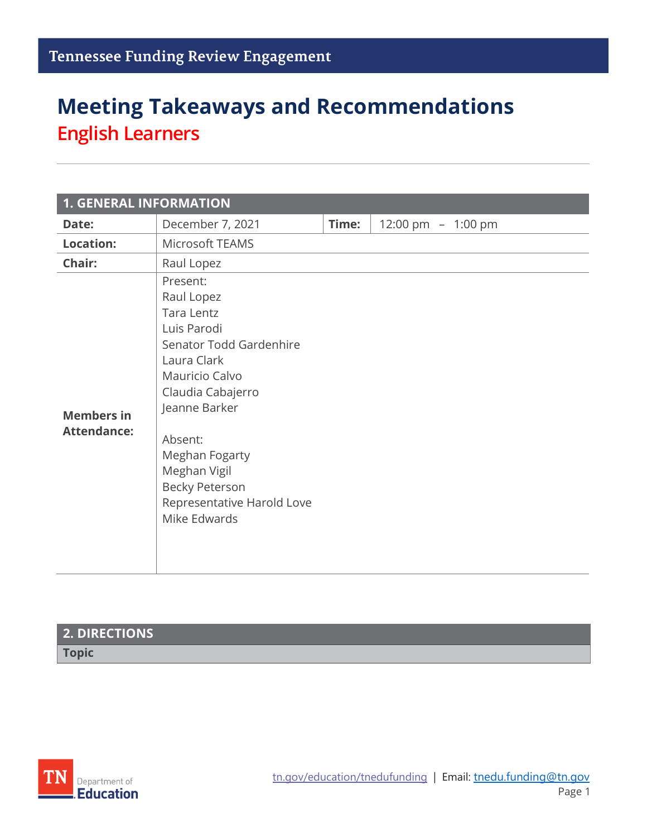# **Meeting Takeaways and Recommendations English Learners**

| <b>1. GENERAL INFORMATION</b>           |                                                                                                                                                                                                                                                                                  |       |                     |  |  |  |  |
|-----------------------------------------|----------------------------------------------------------------------------------------------------------------------------------------------------------------------------------------------------------------------------------------------------------------------------------|-------|---------------------|--|--|--|--|
| Date:                                   | December 7, 2021                                                                                                                                                                                                                                                                 | Time: | 12:00 pm $-1:00$ pm |  |  |  |  |
| <b>Location:</b>                        | Microsoft TEAMS                                                                                                                                                                                                                                                                  |       |                     |  |  |  |  |
| Chair:                                  | Raul Lopez                                                                                                                                                                                                                                                                       |       |                     |  |  |  |  |
| <b>Members in</b><br><b>Attendance:</b> | Present:<br>Raul Lopez<br><b>Tara Lentz</b><br>Luis Parodi<br>Senator Todd Gardenhire<br>Laura Clark<br>Mauricio Calvo<br>Claudia Cabajerro<br>Jeanne Barker<br>Absent:<br>Meghan Fogarty<br>Meghan Vigil<br><b>Becky Peterson</b><br>Representative Harold Love<br>Mike Edwards |       |                     |  |  |  |  |

### **2. DIRECTIONS Topic**

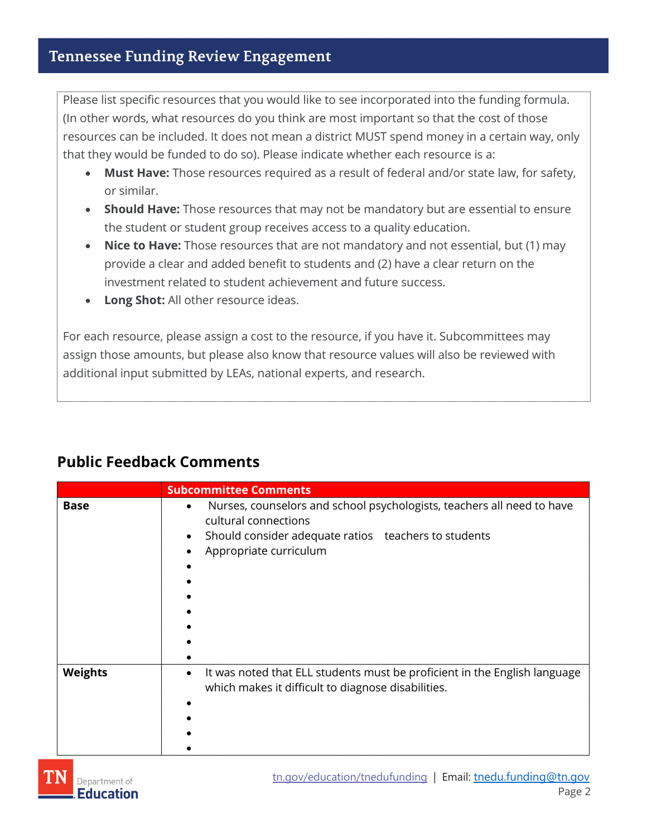Please list specific resources that you would like to see incorporated into the funding formula. (In other words, what resources do you think are most important so that the cost of those resources can be included. It does not mean a district MUST spend money in a certain way, only that they would be funded to do so). Please indicate whether each resource is a:

- **Must Have:** Those resources required as a result of federal and/or state law, for safety, or similar.
- **Should Have:** Those resources that may not be mandatory but are essential to ensure the student or student group receives access to a quality education.
- **Nice to Have:** Those resources that are not mandatory and not essential, but (1) may provide a clear and added benefit to students and (2) have a clear return on the investment related to student achievement and future success.
- **Long Shot:** All other resource ideas.

For each resource, please assign a cost to the resource, if you have it. Subcommittees may assign those amounts, but please also know that resource values will also be reviewed with additional input submitted by LEAs, national experts, and research.

### **Public Feedback Comments**

|                | <b>Subcommittee Comments</b>                                                                                                                                                                  |  |  |  |
|----------------|-----------------------------------------------------------------------------------------------------------------------------------------------------------------------------------------------|--|--|--|
| <b>Base</b>    | Nurses, counselors and school psychologists, teachers all need to have<br>$\bullet$<br>cultural connections<br>Should consider adequate ratios teachers to students<br>Appropriate curriculum |  |  |  |
| <b>Weights</b> | It was noted that ELL students must be proficient in the English language<br>$\bullet$<br>which makes it difficult to diagnose disabilities.                                                  |  |  |  |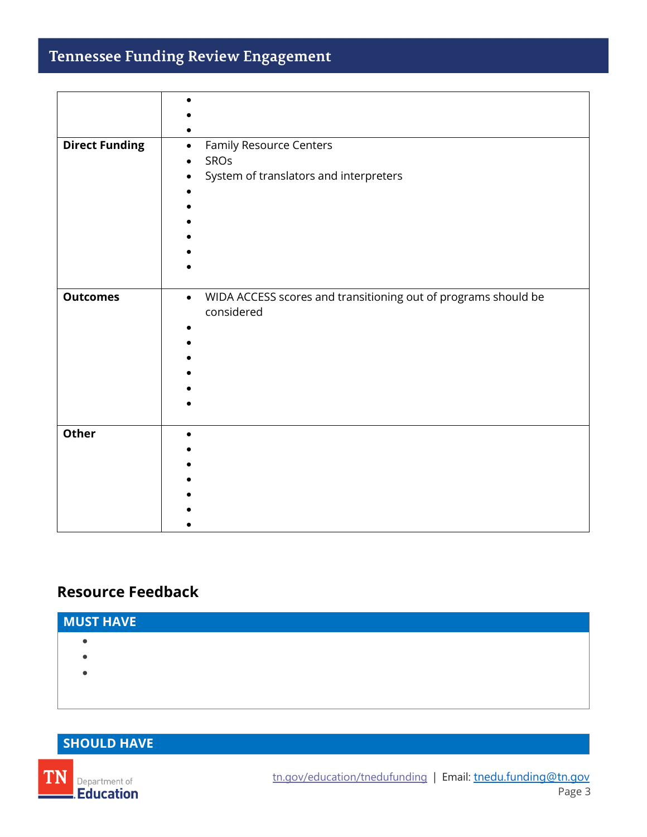## **Tennessee Funding Review Engagement**

| <b>Direct Funding</b> | Family Resource Centers                                                     |  |  |  |  |
|-----------------------|-----------------------------------------------------------------------------|--|--|--|--|
|                       | SROs                                                                        |  |  |  |  |
|                       | System of translators and interpreters                                      |  |  |  |  |
|                       |                                                                             |  |  |  |  |
|                       |                                                                             |  |  |  |  |
|                       |                                                                             |  |  |  |  |
|                       |                                                                             |  |  |  |  |
|                       |                                                                             |  |  |  |  |
|                       |                                                                             |  |  |  |  |
|                       |                                                                             |  |  |  |  |
| <b>Outcomes</b>       | WIDA ACCESS scores and transitioning out of programs should be<br>$\bullet$ |  |  |  |  |
|                       | considered                                                                  |  |  |  |  |
|                       |                                                                             |  |  |  |  |
|                       |                                                                             |  |  |  |  |
|                       |                                                                             |  |  |  |  |
|                       |                                                                             |  |  |  |  |
|                       |                                                                             |  |  |  |  |
|                       |                                                                             |  |  |  |  |
|                       |                                                                             |  |  |  |  |
| Other                 |                                                                             |  |  |  |  |
|                       |                                                                             |  |  |  |  |
|                       |                                                                             |  |  |  |  |
|                       |                                                                             |  |  |  |  |
|                       |                                                                             |  |  |  |  |
|                       |                                                                             |  |  |  |  |
|                       |                                                                             |  |  |  |  |
|                       |                                                                             |  |  |  |  |

## **Resource Feedback**

| <b>MUST HAVE</b> |  |  |  |
|------------------|--|--|--|
|                  |  |  |  |
|                  |  |  |  |
|                  |  |  |  |
|                  |  |  |  |
|                  |  |  |  |

## **SHOULD HAVE**